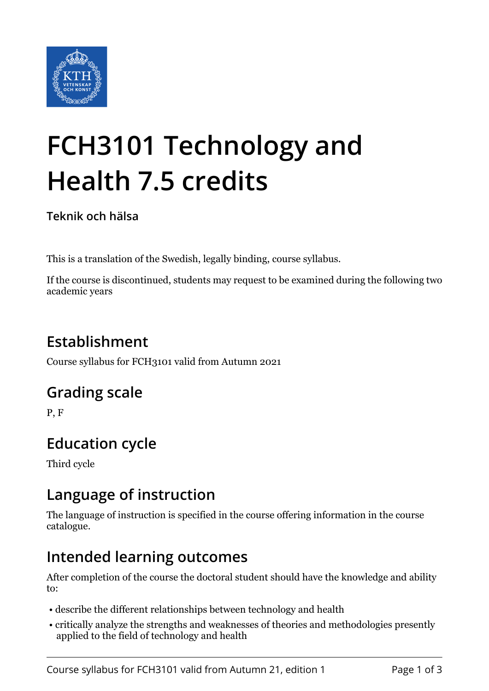

# **FCH3101 Technology and Health 7.5 credits**

**Teknik och hälsa**

This is a translation of the Swedish, legally binding, course syllabus.

If the course is discontinued, students may request to be examined during the following two academic years

# **Establishment**

Course syllabus for FCH3101 valid from Autumn 2021

# **Grading scale**

P, F

# **Education cycle**

Third cycle

## **Language of instruction**

The language of instruction is specified in the course offering information in the course catalogue.

## **Intended learning outcomes**

After completion of the course the doctoral student should have the knowledge and ability to:

- describe the different relationships between technology and health
- critically analyze the strengths and weaknesses of theories and methodologies presently applied to the field of technology and health